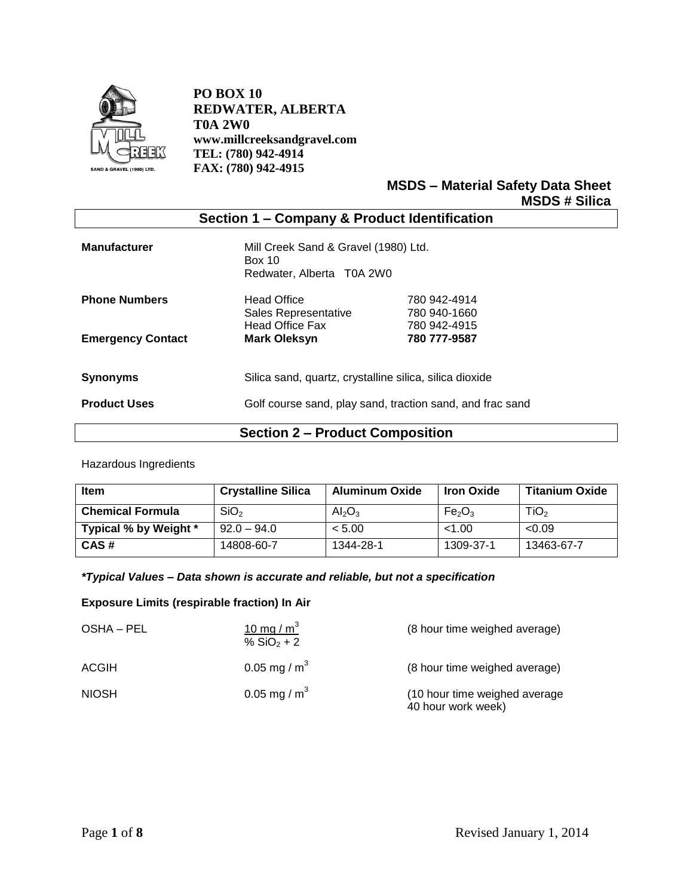

**PO BOX 10 REDWATER, ALBERTA T0A 2W0 www.millcreeksandgravel.com TEL: (780) 942-4914 FAX: (780) 942-4915**

> **MSDS – Material Safety Data Sheet MSDS # Silica**

| Section 1 - Company & Product Identification |                                                                                    |                                              |  |
|----------------------------------------------|------------------------------------------------------------------------------------|----------------------------------------------|--|
| <b>Manufacturer</b>                          | Mill Creek Sand & Gravel (1980) Ltd.<br><b>Box 10</b><br>Redwater, Alberta T0A 2W0 |                                              |  |
| <b>Phone Numbers</b>                         | <b>Head Office</b><br>Sales Representative<br><b>Head Office Fax</b>               | 780 942-4914<br>780 940-1660<br>780 942-4915 |  |
| <b>Emergency Contact</b>                     | <b>Mark Oleksyn</b>                                                                | 780 777-9587                                 |  |
| <b>Synonyms</b>                              | Silica sand, quartz, crystalline silica, silica dioxide                            |                                              |  |
| <b>Product Uses</b>                          | Golf course sand, play sand, traction sand, and frac sand                          |                                              |  |

# **Section 2 – Product Composition**

Hazardous Ingredients

| <b>Item</b>             | <b>Crystalline Silica</b> | <b>Aluminum Oxide</b>          | <b>Iron Oxide</b>              | <b>Titanium Oxide</b> |
|-------------------------|---------------------------|--------------------------------|--------------------------------|-----------------------|
| <b>Chemical Formula</b> | SiO <sub>2</sub>          | Al <sub>2</sub> O <sub>3</sub> | Fe <sub>2</sub> O <sub>3</sub> | TiO <sub>2</sub>      |
| Typical % by Weight *   | $92.0 - 94.0$             | < 5.00                         | < 1.00                         | < 0.09                |
| CAS#                    | 14808-60-7                | 1344-28-1                      | 1309-37-1                      | 13463-67-7            |

### *\*Typical Values – Data shown is accurate and reliable, but not a specification*

### **Exposure Limits (respirable fraction) In Air**

| OSHA – PEL   | 10 mg / $m3$<br>% $SiO2 + 2$ | (8 hour time weighed average)                       |
|--------------|------------------------------|-----------------------------------------------------|
| ACGIH        | 0.05 mg / $m^3$              | (8 hour time weighed average)                       |
| <b>NIOSH</b> | 0.05 mg / $m^3$              | (10 hour time weighed average<br>40 hour work week) |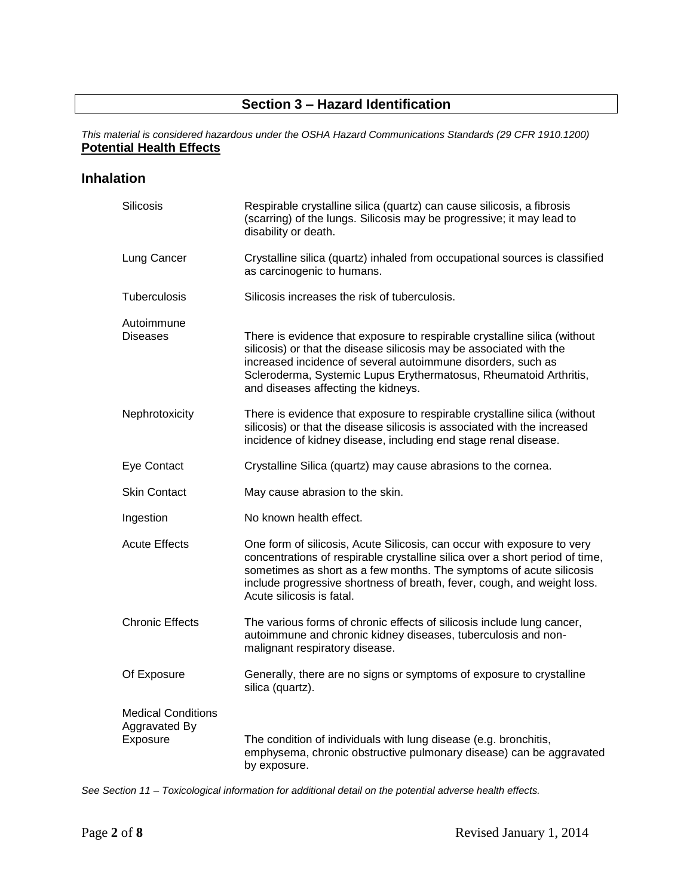# **Section 3 – Hazard Identification**

*This material is considered hazardous under the OSHA Hazard Communications Standards (29 CFR 1910.1200)* **Potential Health Effects**

### **Inhalation**

| Silicosis                                              | Respirable crystalline silica (quartz) can cause silicosis, a fibrosis<br>(scarring) of the lungs. Silicosis may be progressive; it may lead to<br>disability or death.                                                                                                                                                                |
|--------------------------------------------------------|----------------------------------------------------------------------------------------------------------------------------------------------------------------------------------------------------------------------------------------------------------------------------------------------------------------------------------------|
| Lung Cancer                                            | Crystalline silica (quartz) inhaled from occupational sources is classified<br>as carcinogenic to humans.                                                                                                                                                                                                                              |
| Tuberculosis                                           | Silicosis increases the risk of tuberculosis.                                                                                                                                                                                                                                                                                          |
| Autoimmune<br>Diseases                                 | There is evidence that exposure to respirable crystalline silica (without<br>silicosis) or that the disease silicosis may be associated with the<br>increased incidence of several autoimmune disorders, such as<br>Scleroderma, Systemic Lupus Erythermatosus, Rheumatoid Arthritis,<br>and diseases affecting the kidneys.           |
| Nephrotoxicity                                         | There is evidence that exposure to respirable crystalline silica (without<br>silicosis) or that the disease silicosis is associated with the increased<br>incidence of kidney disease, including end stage renal disease.                                                                                                              |
| Eye Contact                                            | Crystalline Silica (quartz) may cause abrasions to the cornea.                                                                                                                                                                                                                                                                         |
| <b>Skin Contact</b>                                    | May cause abrasion to the skin.                                                                                                                                                                                                                                                                                                        |
| Ingestion                                              | No known health effect.                                                                                                                                                                                                                                                                                                                |
| <b>Acute Effects</b>                                   | One form of silicosis, Acute Silicosis, can occur with exposure to very<br>concentrations of respirable crystalline silica over a short period of time,<br>sometimes as short as a few months. The symptoms of acute silicosis<br>include progressive shortness of breath, fever, cough, and weight loss.<br>Acute silicosis is fatal. |
| <b>Chronic Effects</b>                                 | The various forms of chronic effects of silicosis include lung cancer,<br>autoimmune and chronic kidney diseases, tuberculosis and non-<br>malignant respiratory disease.                                                                                                                                                              |
| Of Exposure                                            | Generally, there are no signs or symptoms of exposure to crystalline<br>silica (quartz).                                                                                                                                                                                                                                               |
| <b>Medical Conditions</b><br>Aggravated By<br>Exposure | The condition of individuals with lung disease (e.g. bronchitis,<br>emphysema, chronic obstructive pulmonary disease) can be aggravated<br>by exposure.                                                                                                                                                                                |

*See Section 11 – Toxicological information for additional detail on the potential adverse health effects.*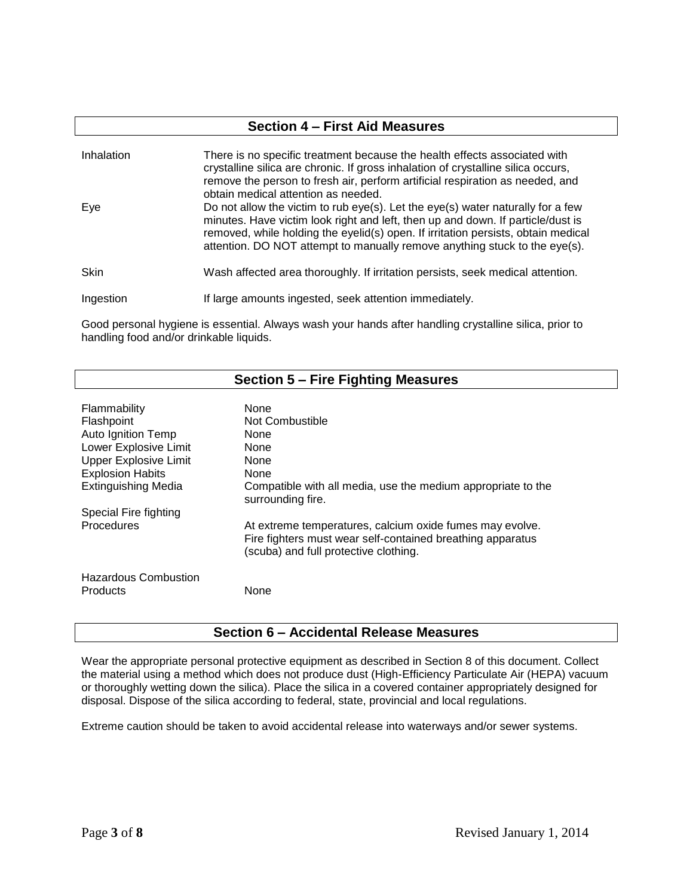| <b>Section 4 - First Aid Measures</b> |                                                                                                                                                                                                                                                                                                                                            |  |  |
|---------------------------------------|--------------------------------------------------------------------------------------------------------------------------------------------------------------------------------------------------------------------------------------------------------------------------------------------------------------------------------------------|--|--|
| Inhalation                            | There is no specific treatment because the health effects associated with<br>crystalline silica are chronic. If gross inhalation of crystalline silica occurs,<br>remove the person to fresh air, perform artificial respiration as needed, and<br>obtain medical attention as needed.                                                     |  |  |
| Eye                                   | Do not allow the victim to rub $eye(s)$ . Let the $eye(s)$ water naturally for a few<br>minutes. Have victim look right and left, then up and down. If particle/dust is<br>removed, while holding the eyelid(s) open. If irritation persists, obtain medical<br>attention. DO NOT attempt to manually remove anything stuck to the eye(s). |  |  |
| <b>Skin</b>                           | Wash affected area thoroughly. If irritation persists, seek medical attention.                                                                                                                                                                                                                                                             |  |  |
| Ingestion                             | If large amounts ingested, seek attention immediately.                                                                                                                                                                                                                                                                                     |  |  |

Good personal hygiene is essential. Always wash your hands after handling crystalline silica, prior to handling food and/or drinkable liquids.

| Section 5 – Fire Fighting Measures      |                                                                                                                                                                 |  |  |
|-----------------------------------------|-----------------------------------------------------------------------------------------------------------------------------------------------------------------|--|--|
|                                         |                                                                                                                                                                 |  |  |
| Flammability                            | None                                                                                                                                                            |  |  |
| Flashpoint                              | Not Combustible                                                                                                                                                 |  |  |
| Auto Ignition Temp                      | None                                                                                                                                                            |  |  |
| Lower Explosive Limit                   | <b>None</b>                                                                                                                                                     |  |  |
| <b>Upper Explosive Limit</b>            | <b>None</b>                                                                                                                                                     |  |  |
| <b>Explosion Habits</b>                 | <b>None</b>                                                                                                                                                     |  |  |
| <b>Extinguishing Media</b>              | Compatible with all media, use the medium appropriate to the<br>surrounding fire.                                                                               |  |  |
| Special Fire fighting                   |                                                                                                                                                                 |  |  |
| Procedures                              | At extreme temperatures, calcium oxide fumes may evolve.<br>Fire fighters must wear self-contained breathing apparatus<br>(scuba) and full protective clothing. |  |  |
| <b>Hazardous Combustion</b><br>Products | None                                                                                                                                                            |  |  |

## **Section 6 – Accidental Release Measures**

Wear the appropriate personal protective equipment as described in Section 8 of this document. Collect the material using a method which does not produce dust (High-Efficiency Particulate Air (HEPA) vacuum or thoroughly wetting down the silica). Place the silica in a covered container appropriately designed for disposal. Dispose of the silica according to federal, state, provincial and local regulations.

Extreme caution should be taken to avoid accidental release into waterways and/or sewer systems.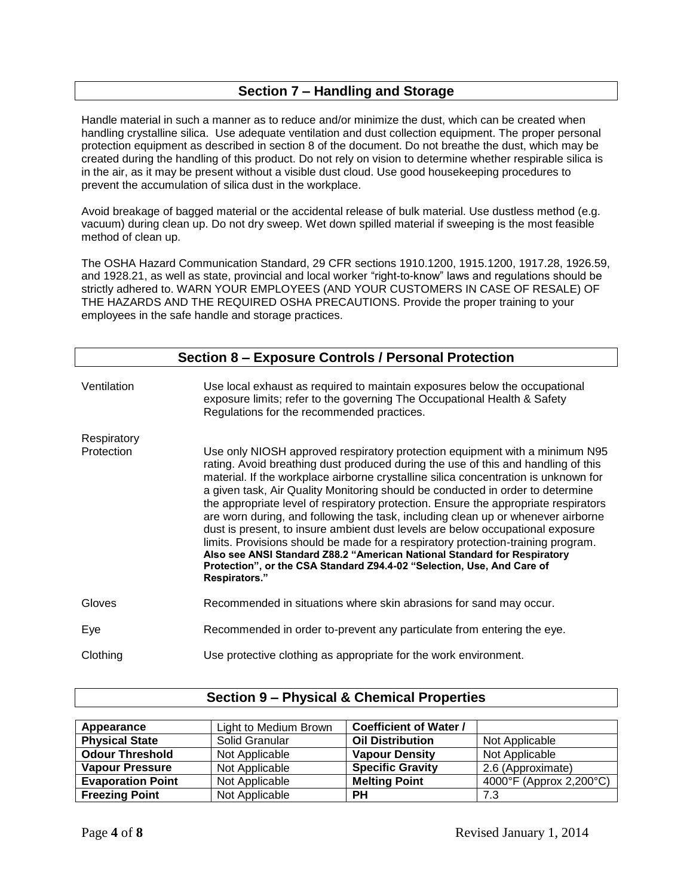## **Section 7 – Handling and Storage**

Handle material in such a manner as to reduce and/or minimize the dust, which can be created when handling crystalline silica. Use adequate ventilation and dust collection equipment. The proper personal protection equipment as described in section 8 of the document. Do not breathe the dust, which may be created during the handling of this product. Do not rely on vision to determine whether respirable silica is in the air, as it may be present without a visible dust cloud. Use good housekeeping procedures to prevent the accumulation of silica dust in the workplace.

Avoid breakage of bagged material or the accidental release of bulk material. Use dustless method (e.g. vacuum) during clean up. Do not dry sweep. Wet down spilled material if sweeping is the most feasible method of clean up.

The OSHA Hazard Communication Standard, 29 CFR sections 1910.1200, 1915.1200, 1917.28, 1926.59, and 1928.21, as well as state, provincial and local worker "right-to-know" laws and regulations should be strictly adhered to. WARN YOUR EMPLOYEES (AND YOUR CUSTOMERS IN CASE OF RESALE) OF THE HAZARDS AND THE REQUIRED OSHA PRECAUTIONS. Provide the proper training to your employees in the safe handle and storage practices.

| Section 8 - Exposure Controls / Personal Protection |                                                                                                                                                                                                                                                                                                                                                                                                                                                                                                                                                                                                                                                                                                                                                                                                                                                                   |  |  |
|-----------------------------------------------------|-------------------------------------------------------------------------------------------------------------------------------------------------------------------------------------------------------------------------------------------------------------------------------------------------------------------------------------------------------------------------------------------------------------------------------------------------------------------------------------------------------------------------------------------------------------------------------------------------------------------------------------------------------------------------------------------------------------------------------------------------------------------------------------------------------------------------------------------------------------------|--|--|
| Ventilation                                         | Use local exhaust as required to maintain exposures below the occupational<br>exposure limits; refer to the governing The Occupational Health & Safety<br>Regulations for the recommended practices.                                                                                                                                                                                                                                                                                                                                                                                                                                                                                                                                                                                                                                                              |  |  |
| Respiratory                                         |                                                                                                                                                                                                                                                                                                                                                                                                                                                                                                                                                                                                                                                                                                                                                                                                                                                                   |  |  |
| Protection                                          | Use only NIOSH approved respiratory protection equipment with a minimum N95<br>rating. Avoid breathing dust produced during the use of this and handling of this<br>material. If the workplace airborne crystalline silica concentration is unknown for<br>a given task, Air Quality Monitoring should be conducted in order to determine<br>the appropriate level of respiratory protection. Ensure the appropriate respirators<br>are worn during, and following the task, including clean up or whenever airborne<br>dust is present, to insure ambient dust levels are below occupational exposure<br>limits. Provisions should be made for a respiratory protection-training program.<br>Also see ANSI Standard Z88.2 "American National Standard for Respiratory<br>Protection", or the CSA Standard Z94.4-02 "Selection, Use, And Care of<br>Respirators." |  |  |
| Gloves                                              | Recommended in situations where skin abrasions for sand may occur.                                                                                                                                                                                                                                                                                                                                                                                                                                                                                                                                                                                                                                                                                                                                                                                                |  |  |
| Eye                                                 | Recommended in order to-prevent any particulate from entering the eye.                                                                                                                                                                                                                                                                                                                                                                                                                                                                                                                                                                                                                                                                                                                                                                                            |  |  |
| Clothing                                            | Use protective clothing as appropriate for the work environment.                                                                                                                                                                                                                                                                                                                                                                                                                                                                                                                                                                                                                                                                                                                                                                                                  |  |  |

| Appearance               | Light to Medium Brown | <b>Coefficient of Water /</b> |                         |
|--------------------------|-----------------------|-------------------------------|-------------------------|
| <b>Physical State</b>    | Solid Granular        | <b>Oil Distribution</b>       | Not Applicable          |
| <b>Odour Threshold</b>   | Not Applicable        | <b>Vapour Density</b>         | Not Applicable          |
| <b>Vapour Pressure</b>   | Not Applicable        | <b>Specific Gravity</b>       | 2.6 (Approximate)       |
| <b>Evaporation Point</b> | Not Applicable        | <b>Melting Point</b>          | 4000°F (Approx 2,200°C) |
| <b>Freezing Point</b>    | Not Applicable        | <b>PH</b>                     | 7.3                     |

### **Section 9 – Physical & Chemical Properties**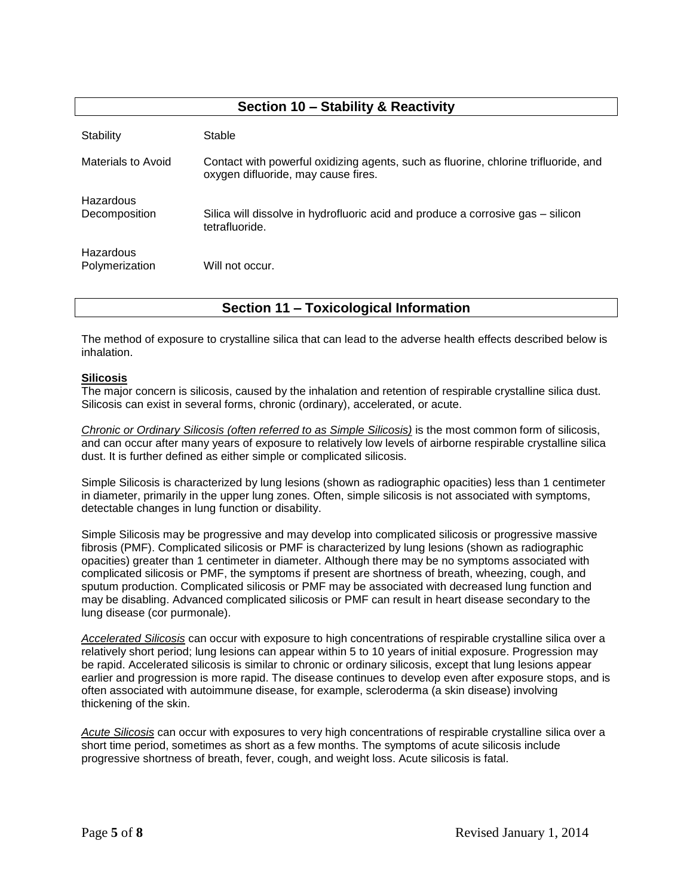## **Section 10 – Stability & Reactivity**

| Stability                          | Stable                                                                                                                     |
|------------------------------------|----------------------------------------------------------------------------------------------------------------------------|
| Materials to Avoid                 | Contact with powerful oxidizing agents, such as fluorine, chlorine trifluoride, and<br>oxygen difluoride, may cause fires. |
| Hazardous<br>Decomposition         | Silica will dissolve in hydrofluoric acid and produce a corrosive gas – silicon<br>tetrafluoride.                          |
| <b>Hazardous</b><br>Polymerization | Will not occur.                                                                                                            |

**Section 11 – Toxicological Information**

The method of exposure to crystalline silica that can lead to the adverse health effects described below is inhalation.

#### **Silicosis**

The major concern is silicosis, caused by the inhalation and retention of respirable crystalline silica dust. Silicosis can exist in several forms, chronic (ordinary), accelerated, or acute.

*Chronic or Ordinary Silicosis (often referred to as Simple Silicosis)* is the most common form of silicosis, and can occur after many years of exposure to relatively low levels of airborne respirable crystalline silica dust. It is further defined as either simple or complicated silicosis.

Simple Silicosis is characterized by lung lesions (shown as radiographic opacities) less than 1 centimeter in diameter, primarily in the upper lung zones. Often, simple silicosis is not associated with symptoms, detectable changes in lung function or disability.

Simple Silicosis may be progressive and may develop into complicated silicosis or progressive massive fibrosis (PMF). Complicated silicosis or PMF is characterized by lung lesions (shown as radiographic opacities) greater than 1 centimeter in diameter. Although there may be no symptoms associated with complicated silicosis or PMF, the symptoms if present are shortness of breath, wheezing, cough, and sputum production. Complicated silicosis or PMF may be associated with decreased lung function and may be disabling. Advanced complicated silicosis or PMF can result in heart disease secondary to the lung disease (cor purmonale).

*Accelerated Silicosis* can occur with exposure to high concentrations of respirable crystalline silica over a relatively short period; lung lesions can appear within 5 to 10 years of initial exposure. Progression may be rapid. Accelerated silicosis is similar to chronic or ordinary silicosis, except that lung lesions appear earlier and progression is more rapid. The disease continues to develop even after exposure stops, and is often associated with autoimmune disease, for example, scleroderma (a skin disease) involving thickening of the skin.

*Acute Silicosis* can occur with exposures to very high concentrations of respirable crystalline silica over a short time period, sometimes as short as a few months. The symptoms of acute silicosis include progressive shortness of breath, fever, cough, and weight loss. Acute silicosis is fatal.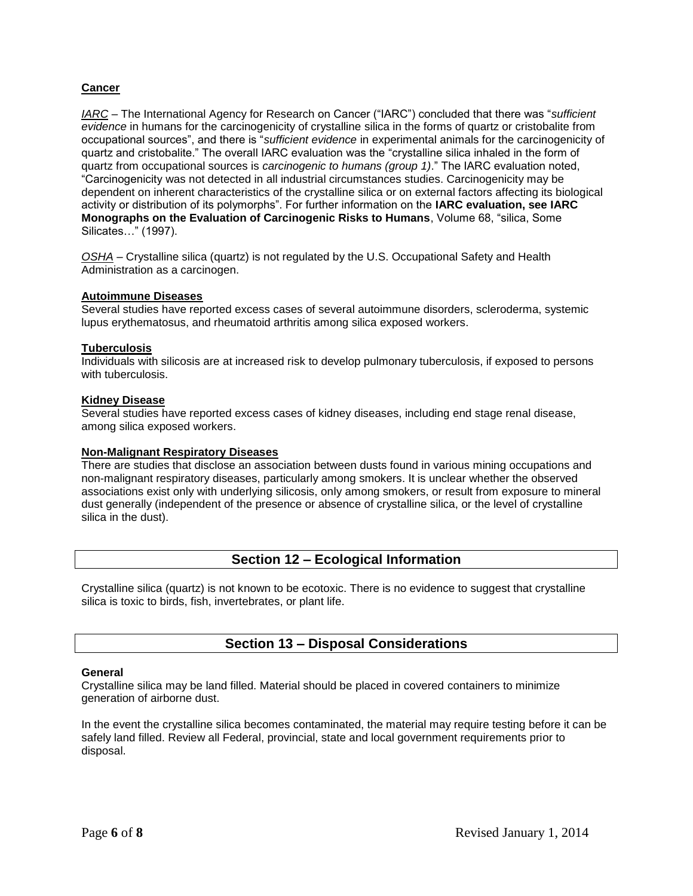### **Cancer**

*IARC* – The International Agency for Research on Cancer ("IARC") concluded that there was "*sufficient evidence* in humans for the carcinogenicity of crystalline silica in the forms of quartz or cristobalite from occupational sources", and there is "*sufficient evidence* in experimental animals for the carcinogenicity of quartz and cristobalite." The overall IARC evaluation was the "crystalline silica inhaled in the form of quartz from occupational sources is *carcinogenic to humans (group 1)*." The IARC evaluation noted, "Carcinogenicity was not detected in all industrial circumstances studies. Carcinogenicity may be dependent on inherent characteristics of the crystalline silica or on external factors affecting its biological activity or distribution of its polymorphs". For further information on the **IARC evaluation, see IARC Monographs on the Evaluation of Carcinogenic Risks to Humans**, Volume 68, "silica, Some Silicates…" (1997).

*OSHA* – Crystalline silica (quartz) is not regulated by the U.S. Occupational Safety and Health Administration as a carcinogen.

#### **Autoimmune Diseases**

Several studies have reported excess cases of several autoimmune disorders, scleroderma, systemic lupus erythematosus, and rheumatoid arthritis among silica exposed workers.

#### **Tuberculosis**

Individuals with silicosis are at increased risk to develop pulmonary tuberculosis, if exposed to persons with tuberculosis.

#### **Kidney Disease**

Several studies have reported excess cases of kidney diseases, including end stage renal disease, among silica exposed workers.

#### **Non-Malignant Respiratory Diseases**

There are studies that disclose an association between dusts found in various mining occupations and non-malignant respiratory diseases, particularly among smokers. It is unclear whether the observed associations exist only with underlying silicosis, only among smokers, or result from exposure to mineral dust generally (independent of the presence or absence of crystalline silica, or the level of crystalline silica in the dust).

## **Section 12 – Ecological Information**

Crystalline silica (quartz) is not known to be ecotoxic. There is no evidence to suggest that crystalline silica is toxic to birds, fish, invertebrates, or plant life.

## **Section 13 – Disposal Considerations**

#### **General**

Crystalline silica may be land filled. Material should be placed in covered containers to minimize generation of airborne dust.

In the event the crystalline silica becomes contaminated, the material may require testing before it can be safely land filled. Review all Federal, provincial, state and local government requirements prior to disposal.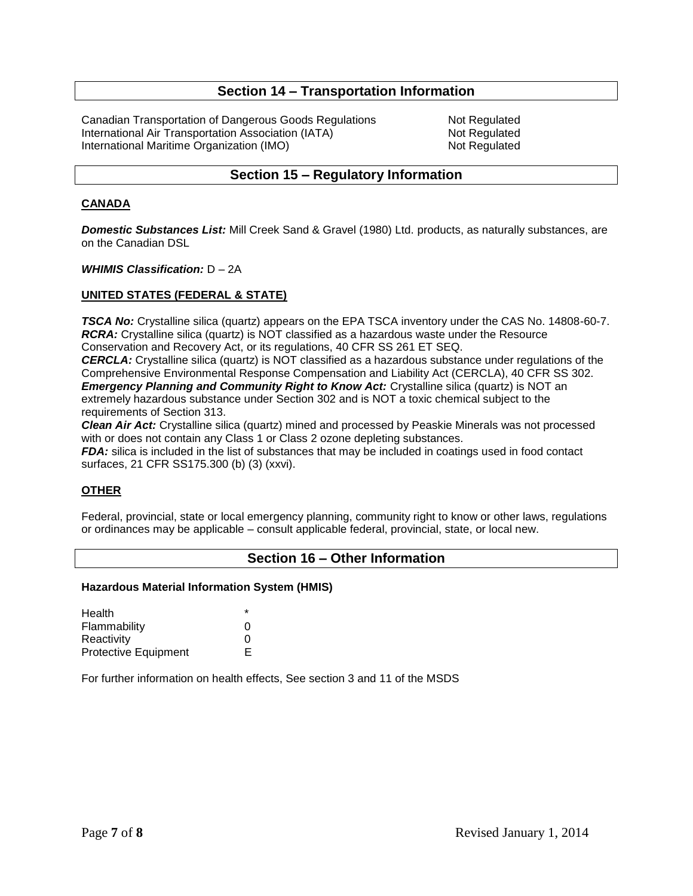## **Section 14 – Transportation Information**

Canadian Transportation of Dangerous Goods Regulations Not Regulated International Air Transportation Association (IATA) Not Regulated International Maritime Organization (IMO) Not Regulated

## **Section 15 – Regulatory Information**

#### **CANADA**

*Domestic Substances List:* Mill Creek Sand & Gravel (1980) Ltd. products, as naturally substances, are on the Canadian DSL

#### *WHIMIS Classification:* D – 2A

#### **UNITED STATES (FEDERAL & STATE)**

**TSCA No:** Crystalline silica (quartz) appears on the EPA TSCA inventory under the CAS No. 14808-60-7. *RCRA:* Crystalline silica (quartz) is NOT classified as a hazardous waste under the Resource Conservation and Recovery Act, or its regulations, 40 CFR SS 261 ET SEQ.

*CERCLA:* Crystalline silica (quartz) is NOT classified as a hazardous substance under regulations of the Comprehensive Environmental Response Compensation and Liability Act (CERCLA), 40 CFR SS 302. *Emergency Planning and Community Right to Know Act: Crystalline silica (quartz) is NOT an* extremely hazardous substance under Section 302 and is NOT a toxic chemical subject to the requirements of Section 313.

*Clean Air Act:* Crystalline silica (quartz) mined and processed by Peaskie Minerals was not processed with or does not contain any Class 1 or Class 2 ozone depleting substances.

*FDA:* silica is included in the list of substances that may be included in coatings used in food contact surfaces, 21 CFR SS175.300 (b) (3) (xxvi).

### **OTHER**

Federal, provincial, state or local emergency planning, community right to know or other laws, regulations or ordinances may be applicable – consult applicable federal, provincial, state, or local new.

#### **Section 16 – Other Information**

#### **Hazardous Material Information System (HMIS)**

| Health                      | $\star$ |
|-----------------------------|---------|
| Flammability                | O       |
| Reactivity                  | n       |
| <b>Protective Equipment</b> | E.      |

For further information on health effects, See section 3 and 11 of the MSDS